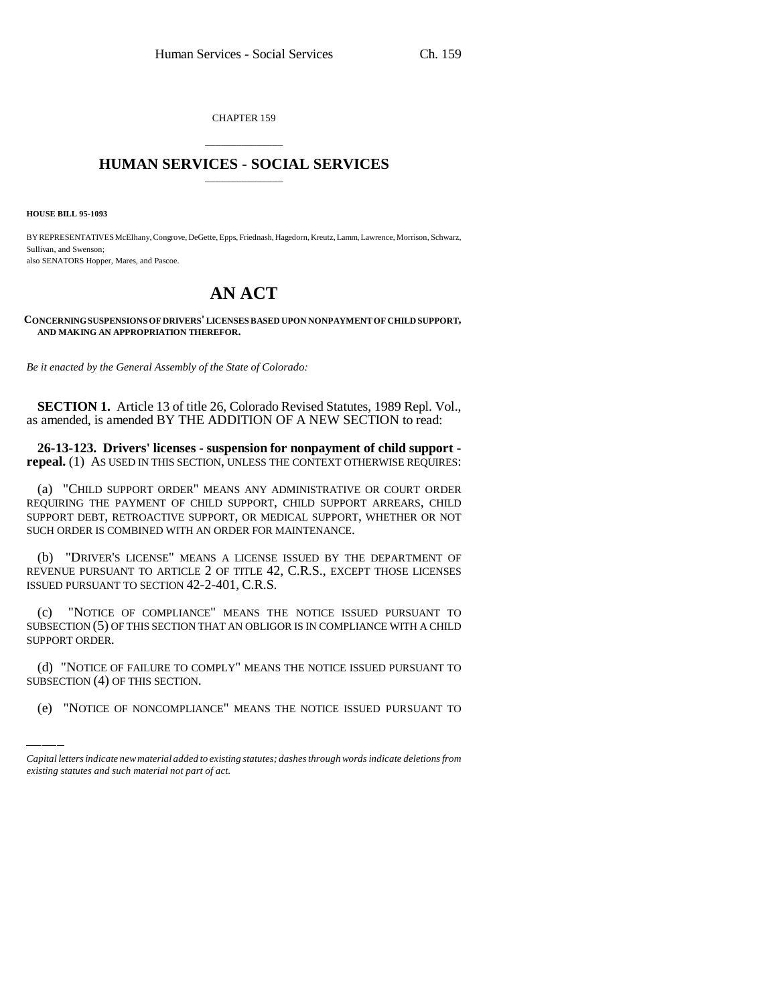CHAPTER 159

## \_\_\_\_\_\_\_\_\_\_\_\_\_\_\_ **HUMAN SERVICES - SOCIAL SERVICES** \_\_\_\_\_\_\_\_\_\_\_\_\_\_\_

**HOUSE BILL 95-1093**

BY REPRESENTATIVES McElhany, Congrove, DeGette, Epps, Friednash, Hagedorn, Kreutz, Lamm, Lawrence, Morrison, Schwarz, Sullivan, and Swenson; also SENATORS Hopper, Mares, and Pascoe.

## **AN ACT**

**CONCERNING SUSPENSIONS OF DRIVERS' LICENSES BASED UPON NONPAYMENT OF CHILD SUPPORT, AND MAKING AN APPROPRIATION THEREFOR.**

*Be it enacted by the General Assembly of the State of Colorado:*

**SECTION 1.** Article 13 of title 26, Colorado Revised Statutes, 1989 Repl. Vol., as amended, is amended BY THE ADDITION OF A NEW SECTION to read:

**26-13-123. Drivers' licenses - suspension for nonpayment of child support repeal.** (1) AS USED IN THIS SECTION, UNLESS THE CONTEXT OTHERWISE REQUIRES:

(a) "CHILD SUPPORT ORDER" MEANS ANY ADMINISTRATIVE OR COURT ORDER REQUIRING THE PAYMENT OF CHILD SUPPORT, CHILD SUPPORT ARREARS, CHILD SUPPORT DEBT, RETROACTIVE SUPPORT, OR MEDICAL SUPPORT, WHETHER OR NOT SUCH ORDER IS COMBINED WITH AN ORDER FOR MAINTENANCE.

(b) "DRIVER'S LICENSE" MEANS A LICENSE ISSUED BY THE DEPARTMENT OF REVENUE PURSUANT TO ARTICLE 2 OF TITLE 42, C.R.S., EXCEPT THOSE LICENSES ISSUED PURSUANT TO SECTION 42-2-401, C.R.S.

 $\frac{1}{2}$ (c) "NOTICE OF COMPLIANCE" MEANS THE NOTICE ISSUED PURSUANT TO SUBSECTION (5) OF THIS SECTION THAT AN OBLIGOR IS IN COMPLIANCE WITH A CHILD SUPPORT ORDER.

(d) "NOTICE OF FAILURE TO COMPLY" MEANS THE NOTICE ISSUED PURSUANT TO SUBSECTION (4) OF THIS SECTION.

(e) "NOTICE OF NONCOMPLIANCE" MEANS THE NOTICE ISSUED PURSUANT TO

*Capital letters indicate new material added to existing statutes; dashes through words indicate deletions from existing statutes and such material not part of act.*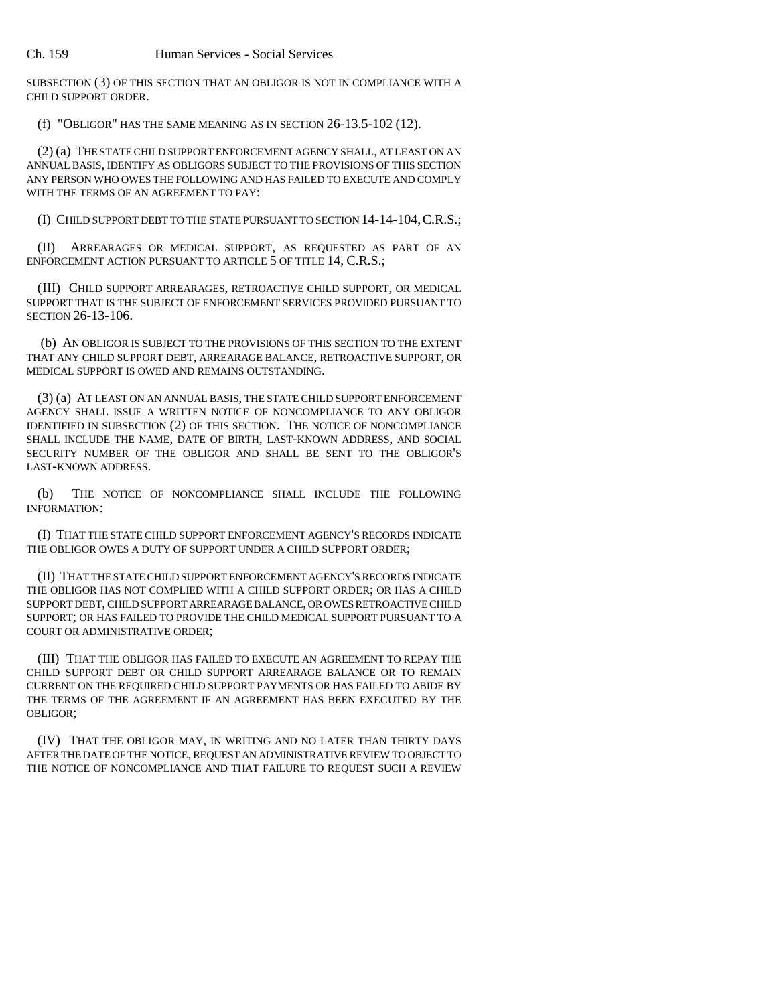SUBSECTION (3) OF THIS SECTION THAT AN OBLIGOR IS NOT IN COMPLIANCE WITH A CHILD SUPPORT ORDER.

(f) "OBLIGOR" HAS THE SAME MEANING AS IN SECTION 26-13.5-102 (12).

(2) (a) THE STATE CHILD SUPPORT ENFORCEMENT AGENCY SHALL, AT LEAST ON AN ANNUAL BASIS, IDENTIFY AS OBLIGORS SUBJECT TO THE PROVISIONS OF THIS SECTION ANY PERSON WHO OWES THE FOLLOWING AND HAS FAILED TO EXECUTE AND COMPLY WITH THE TERMS OF AN AGREEMENT TO PAY:

(I) CHILD SUPPORT DEBT TO THE STATE PURSUANT TO SECTION 14-14-104,C.R.S.;

(II) ARREARAGES OR MEDICAL SUPPORT, AS REQUESTED AS PART OF AN ENFORCEMENT ACTION PURSUANT TO ARTICLE 5 OF TITLE 14, C.R.S.;

(III) CHILD SUPPORT ARREARAGES, RETROACTIVE CHILD SUPPORT, OR MEDICAL SUPPORT THAT IS THE SUBJECT OF ENFORCEMENT SERVICES PROVIDED PURSUANT TO SECTION 26-13-106.

 (b) AN OBLIGOR IS SUBJECT TO THE PROVISIONS OF THIS SECTION TO THE EXTENT THAT ANY CHILD SUPPORT DEBT, ARREARAGE BALANCE, RETROACTIVE SUPPORT, OR MEDICAL SUPPORT IS OWED AND REMAINS OUTSTANDING.

(3) (a) AT LEAST ON AN ANNUAL BASIS, THE STATE CHILD SUPPORT ENFORCEMENT AGENCY SHALL ISSUE A WRITTEN NOTICE OF NONCOMPLIANCE TO ANY OBLIGOR IDENTIFIED IN SUBSECTION (2) OF THIS SECTION. THE NOTICE OF NONCOMPLIANCE SHALL INCLUDE THE NAME, DATE OF BIRTH, LAST-KNOWN ADDRESS, AND SOCIAL SECURITY NUMBER OF THE OBLIGOR AND SHALL BE SENT TO THE OBLIGOR'S LAST-KNOWN ADDRESS.

(b) THE NOTICE OF NONCOMPLIANCE SHALL INCLUDE THE FOLLOWING INFORMATION:

(I) THAT THE STATE CHILD SUPPORT ENFORCEMENT AGENCY'S RECORDS INDICATE THE OBLIGOR OWES A DUTY OF SUPPORT UNDER A CHILD SUPPORT ORDER;

(II) THAT THE STATE CHILD SUPPORT ENFORCEMENT AGENCY'S RECORDS INDICATE THE OBLIGOR HAS NOT COMPLIED WITH A CHILD SUPPORT ORDER; OR HAS A CHILD SUPPORT DEBT, CHILD SUPPORT ARREARAGE BALANCE, OR OWES RETROACTIVE CHILD SUPPORT; OR HAS FAILED TO PROVIDE THE CHILD MEDICAL SUPPORT PURSUANT TO A COURT OR ADMINISTRATIVE ORDER;

(III) THAT THE OBLIGOR HAS FAILED TO EXECUTE AN AGREEMENT TO REPAY THE CHILD SUPPORT DEBT OR CHILD SUPPORT ARREARAGE BALANCE OR TO REMAIN CURRENT ON THE REQUIRED CHILD SUPPORT PAYMENTS OR HAS FAILED TO ABIDE BY THE TERMS OF THE AGREEMENT IF AN AGREEMENT HAS BEEN EXECUTED BY THE OBLIGOR;

(IV) THAT THE OBLIGOR MAY, IN WRITING AND NO LATER THAN THIRTY DAYS AFTER THE DATE OF THE NOTICE, REQUEST AN ADMINISTRATIVE REVIEW TO OBJECT TO THE NOTICE OF NONCOMPLIANCE AND THAT FAILURE TO REQUEST SUCH A REVIEW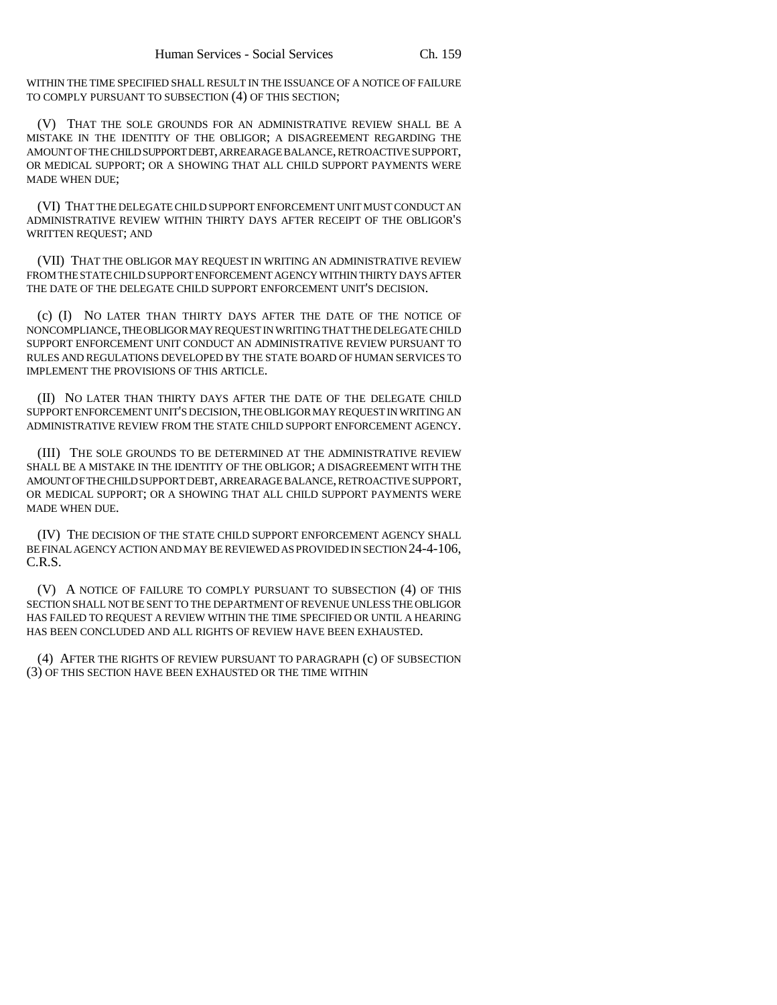WITHIN THE TIME SPECIFIED SHALL RESULT IN THE ISSUANCE OF A NOTICE OF FAILURE TO COMPLY PURSUANT TO SUBSECTION (4) OF THIS SECTION;

(V) THAT THE SOLE GROUNDS FOR AN ADMINISTRATIVE REVIEW SHALL BE A MISTAKE IN THE IDENTITY OF THE OBLIGOR; A DISAGREEMENT REGARDING THE AMOUNT OF THE CHILD SUPPORT DEBT, ARREARAGE BALANCE, RETROACTIVE SUPPORT, OR MEDICAL SUPPORT; OR A SHOWING THAT ALL CHILD SUPPORT PAYMENTS WERE MADE WHEN DUE;

(VI) THAT THE DELEGATE CHILD SUPPORT ENFORCEMENT UNIT MUST CONDUCT AN ADMINISTRATIVE REVIEW WITHIN THIRTY DAYS AFTER RECEIPT OF THE OBLIGOR'S WRITTEN REQUEST; AND

(VII) THAT THE OBLIGOR MAY REQUEST IN WRITING AN ADMINISTRATIVE REVIEW FROM THE STATE CHILD SUPPORT ENFORCEMENT AGENCY WITHIN THIRTY DAYS AFTER THE DATE OF THE DELEGATE CHILD SUPPORT ENFORCEMENT UNIT'S DECISION.

(c) (I) NO LATER THAN THIRTY DAYS AFTER THE DATE OF THE NOTICE OF NONCOMPLIANCE, THE OBLIGOR MAY REQUEST IN WRITING THAT THE DELEGATE CHILD SUPPORT ENFORCEMENT UNIT CONDUCT AN ADMINISTRATIVE REVIEW PURSUANT TO RULES AND REGULATIONS DEVELOPED BY THE STATE BOARD OF HUMAN SERVICES TO IMPLEMENT THE PROVISIONS OF THIS ARTICLE.

(II) NO LATER THAN THIRTY DAYS AFTER THE DATE OF THE DELEGATE CHILD SUPPORT ENFORCEMENT UNIT'S DECISION, THE OBLIGOR MAY REQUEST IN WRITING AN ADMINISTRATIVE REVIEW FROM THE STATE CHILD SUPPORT ENFORCEMENT AGENCY.

(III) THE SOLE GROUNDS TO BE DETERMINED AT THE ADMINISTRATIVE REVIEW SHALL BE A MISTAKE IN THE IDENTITY OF THE OBLIGOR; A DISAGREEMENT WITH THE AMOUNT OF THE CHILD SUPPORT DEBT, ARREARAGE BALANCE, RETROACTIVE SUPPORT, OR MEDICAL SUPPORT; OR A SHOWING THAT ALL CHILD SUPPORT PAYMENTS WERE MADE WHEN DUE.

(IV) THE DECISION OF THE STATE CHILD SUPPORT ENFORCEMENT AGENCY SHALL BE FINAL AGENCY ACTION AND MAY BE REVIEWED AS PROVIDED IN SECTION 24-4-106, C.R.S.

(V) A NOTICE OF FAILURE TO COMPLY PURSUANT TO SUBSECTION (4) OF THIS SECTION SHALL NOT BE SENT TO THE DEPARTMENT OF REVENUE UNLESS THE OBLIGOR HAS FAILED TO REQUEST A REVIEW WITHIN THE TIME SPECIFIED OR UNTIL A HEARING HAS BEEN CONCLUDED AND ALL RIGHTS OF REVIEW HAVE BEEN EXHAUSTED.

(4) AFTER THE RIGHTS OF REVIEW PURSUANT TO PARAGRAPH (c) OF SUBSECTION (3) OF THIS SECTION HAVE BEEN EXHAUSTED OR THE TIME WITHIN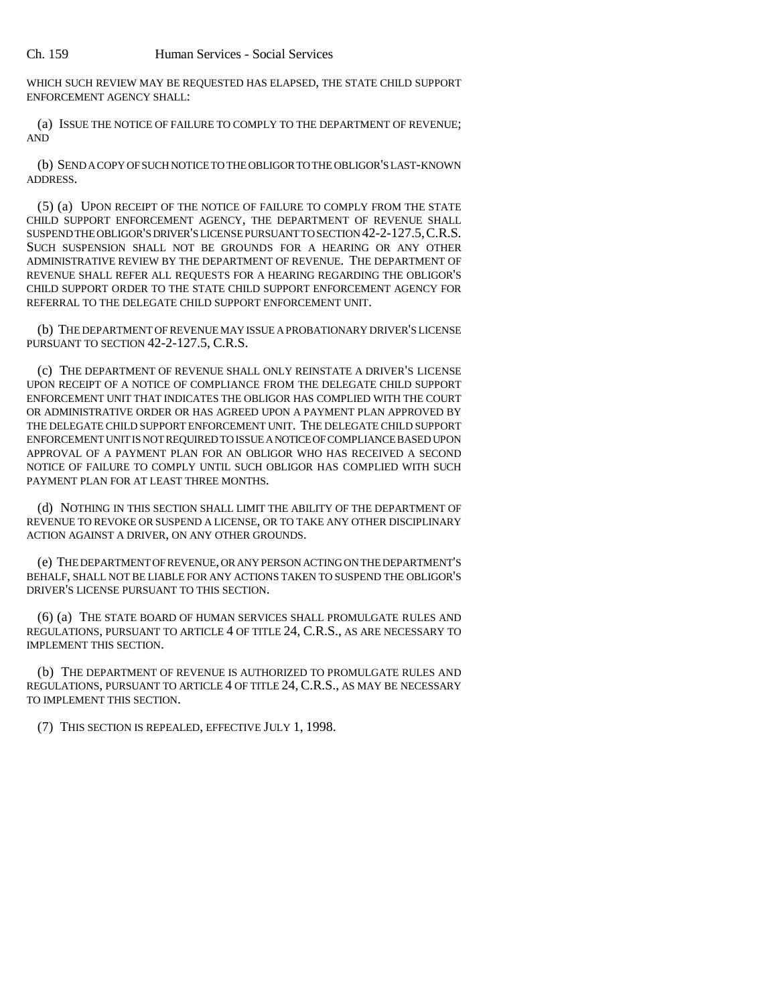WHICH SUCH REVIEW MAY BE REQUESTED HAS ELAPSED, THE STATE CHILD SUPPORT ENFORCEMENT AGENCY SHALL:

(a) ISSUE THE NOTICE OF FAILURE TO COMPLY TO THE DEPARTMENT OF REVENUE; AND

(b) SEND A COPY OF SUCH NOTICE TO THE OBLIGOR TO THE OBLIGOR'S LAST-KNOWN ADDRESS.

(5) (a) UPON RECEIPT OF THE NOTICE OF FAILURE TO COMPLY FROM THE STATE CHILD SUPPORT ENFORCEMENT AGENCY, THE DEPARTMENT OF REVENUE SHALL SUSPEND THE OBLIGOR'S DRIVER'S LICENSE PURSUANT TO SECTION 42-2-127.5,C.R.S. SUCH SUSPENSION SHALL NOT BE GROUNDS FOR A HEARING OR ANY OTHER ADMINISTRATIVE REVIEW BY THE DEPARTMENT OF REVENUE. THE DEPARTMENT OF REVENUE SHALL REFER ALL REQUESTS FOR A HEARING REGARDING THE OBLIGOR'S CHILD SUPPORT ORDER TO THE STATE CHILD SUPPORT ENFORCEMENT AGENCY FOR REFERRAL TO THE DELEGATE CHILD SUPPORT ENFORCEMENT UNIT.

(b) THE DEPARTMENT OF REVENUE MAY ISSUE A PROBATIONARY DRIVER'S LICENSE PURSUANT TO SECTION 42-2-127.5, C.R.S.

(c) THE DEPARTMENT OF REVENUE SHALL ONLY REINSTATE A DRIVER'S LICENSE UPON RECEIPT OF A NOTICE OF COMPLIANCE FROM THE DELEGATE CHILD SUPPORT ENFORCEMENT UNIT THAT INDICATES THE OBLIGOR HAS COMPLIED WITH THE COURT OR ADMINISTRATIVE ORDER OR HAS AGREED UPON A PAYMENT PLAN APPROVED BY THE DELEGATE CHILD SUPPORT ENFORCEMENT UNIT. THE DELEGATE CHILD SUPPORT ENFORCEMENT UNIT IS NOT REQUIRED TO ISSUE A NOTICE OF COMPLIANCE BASED UPON APPROVAL OF A PAYMENT PLAN FOR AN OBLIGOR WHO HAS RECEIVED A SECOND NOTICE OF FAILURE TO COMPLY UNTIL SUCH OBLIGOR HAS COMPLIED WITH SUCH PAYMENT PLAN FOR AT LEAST THREE MONTHS.

(d) NOTHING IN THIS SECTION SHALL LIMIT THE ABILITY OF THE DEPARTMENT OF REVENUE TO REVOKE OR SUSPEND A LICENSE, OR TO TAKE ANY OTHER DISCIPLINARY ACTION AGAINST A DRIVER, ON ANY OTHER GROUNDS.

(e) THE DEPARTMENT OF REVENUE, OR ANY PERSON ACTING ON THE DEPARTMENT'S BEHALF, SHALL NOT BE LIABLE FOR ANY ACTIONS TAKEN TO SUSPEND THE OBLIGOR'S DRIVER'S LICENSE PURSUANT TO THIS SECTION.

(6) (a) THE STATE BOARD OF HUMAN SERVICES SHALL PROMULGATE RULES AND REGULATIONS, PURSUANT TO ARTICLE 4 OF TITLE 24, C.R.S., AS ARE NECESSARY TO IMPLEMENT THIS SECTION.

(b) THE DEPARTMENT OF REVENUE IS AUTHORIZED TO PROMULGATE RULES AND REGULATIONS, PURSUANT TO ARTICLE 4 OF TITLE 24, C.R.S., AS MAY BE NECESSARY TO IMPLEMENT THIS SECTION.

(7) THIS SECTION IS REPEALED, EFFECTIVE JULY 1, 1998.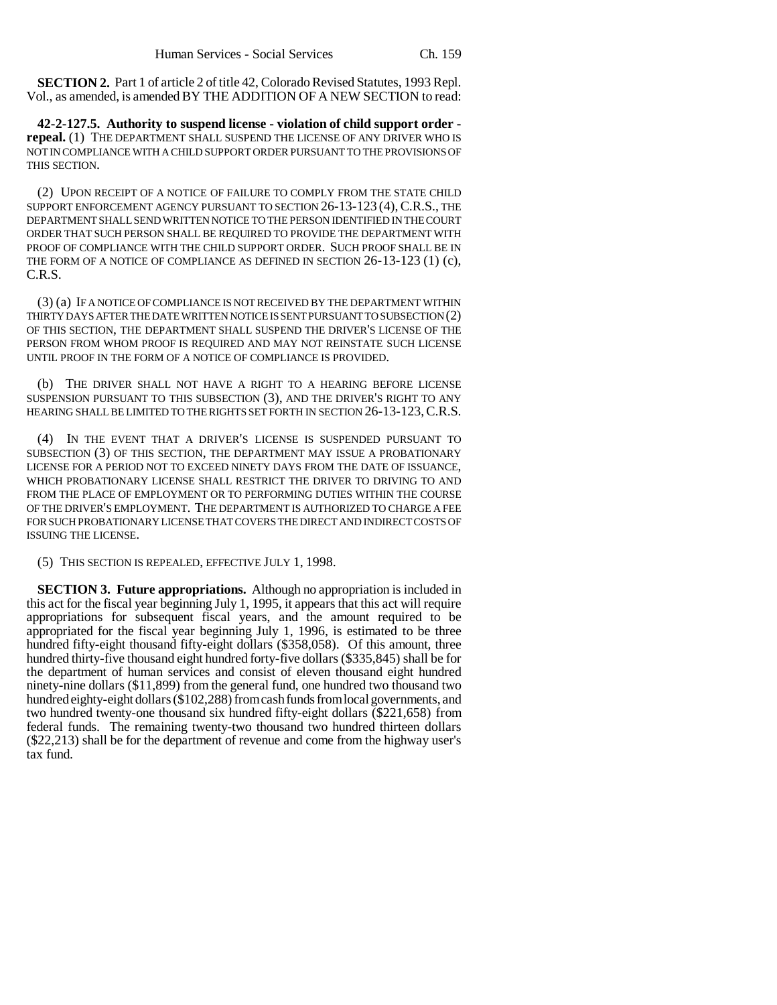**SECTION 2.** Part 1 of article 2 of title 42, Colorado Revised Statutes, 1993 Repl. Vol., as amended, is amended BY THE ADDITION OF A NEW SECTION to read:

**42-2-127.5. Authority to suspend license - violation of child support order repeal.** (1) THE DEPARTMENT SHALL SUSPEND THE LICENSE OF ANY DRIVER WHO IS NOT IN COMPLIANCE WITH A CHILD SUPPORT ORDER PURSUANT TO THE PROVISIONS OF THIS SECTION.

(2) UPON RECEIPT OF A NOTICE OF FAILURE TO COMPLY FROM THE STATE CHILD SUPPORT ENFORCEMENT AGENCY PURSUANT TO SECTION 26-13-123 (4),C.R.S., THE DEPARTMENT SHALL SEND WRITTEN NOTICE TO THE PERSON IDENTIFIED IN THE COURT ORDER THAT SUCH PERSON SHALL BE REQUIRED TO PROVIDE THE DEPARTMENT WITH PROOF OF COMPLIANCE WITH THE CHILD SUPPORT ORDER. SUCH PROOF SHALL BE IN THE FORM OF A NOTICE OF COMPLIANCE AS DEFINED IN SECTION 26-13-123 (1) (c), C.R.S.

(3) (a) IF A NOTICE OF COMPLIANCE IS NOT RECEIVED BY THE DEPARTMENT WITHIN THIRTY DAYS AFTER THE DATE WRITTEN NOTICE IS SENT PURSUANT TO SUBSECTION (2) OF THIS SECTION, THE DEPARTMENT SHALL SUSPEND THE DRIVER'S LICENSE OF THE PERSON FROM WHOM PROOF IS REQUIRED AND MAY NOT REINSTATE SUCH LICENSE UNTIL PROOF IN THE FORM OF A NOTICE OF COMPLIANCE IS PROVIDED.

(b) THE DRIVER SHALL NOT HAVE A RIGHT TO A HEARING BEFORE LICENSE SUSPENSION PURSUANT TO THIS SUBSECTION (3), AND THE DRIVER'S RIGHT TO ANY HEARING SHALL BE LIMITED TO THE RIGHTS SET FORTH IN SECTION 26-13-123, C.R.S.

(4) IN THE EVENT THAT A DRIVER'S LICENSE IS SUSPENDED PURSUANT TO SUBSECTION (3) OF THIS SECTION, THE DEPARTMENT MAY ISSUE A PROBATIONARY LICENSE FOR A PERIOD NOT TO EXCEED NINETY DAYS FROM THE DATE OF ISSUANCE, WHICH PROBATIONARY LICENSE SHALL RESTRICT THE DRIVER TO DRIVING TO AND FROM THE PLACE OF EMPLOYMENT OR TO PERFORMING DUTIES WITHIN THE COURSE OF THE DRIVER'S EMPLOYMENT. THE DEPARTMENT IS AUTHORIZED TO CHARGE A FEE FOR SUCH PROBATIONARY LICENSE THAT COVERS THE DIRECT AND INDIRECT COSTS OF ISSUING THE LICENSE.

(5) THIS SECTION IS REPEALED, EFFECTIVE JULY 1, 1998.

**SECTION 3. Future appropriations.** Although no appropriation is included in this act for the fiscal year beginning July 1, 1995, it appears that this act will require appropriations for subsequent fiscal years, and the amount required to be appropriated for the fiscal year beginning July 1, 1996, is estimated to be three hundred fifty-eight thousand fifty-eight dollars (\$358,058). Of this amount, three hundred thirty-five thousand eight hundred forty-five dollars (\$335,845) shall be for the department of human services and consist of eleven thousand eight hundred ninety-nine dollars (\$11,899) from the general fund, one hundred two thousand two hundred eighty-eight dollars (\$102,288) from cash funds from local governments, and two hundred twenty-one thousand six hundred fifty-eight dollars (\$221,658) from federal funds. The remaining twenty-two thousand two hundred thirteen dollars (\$22,213) shall be for the department of revenue and come from the highway user's tax fund.